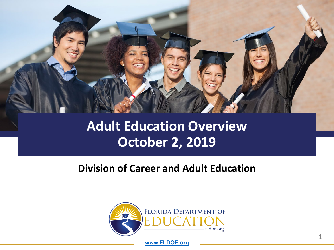

#### **Adult Education Overview October 2, 2019**

#### **Division of Career and Adult Education**



**[www.FLDOE.org](http://www.fldoe.org/)**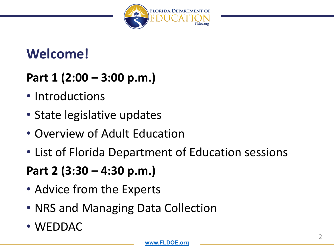

### **Welcome!**

#### **Part 1 (2:00 – 3:00 p.m.)**

- Introductions
- State legislative updates
- Overview of Adult Education
- List of Florida Department of Education sessions

**Part 2 (3:30 – 4:30 p.m.)**

- Advice from the Experts
- NRS and Managing Data Collection
- WEDDAC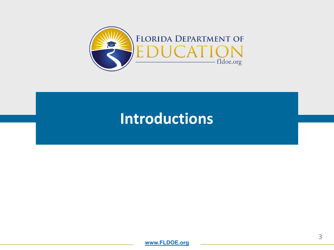

# **Introductions**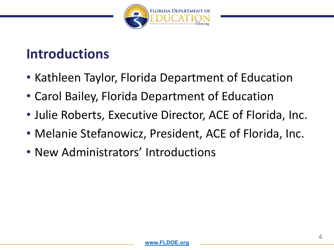

#### **Introductions**

- Kathleen Taylor, Florida Department of Education
- Carol Bailey, Florida Department of Education
- Julie Roberts, Executive Director, ACE of Florida, Inc.
- Melanie Stefanowicz, President, ACE of Florida, Inc.
- New Administrators' Introductions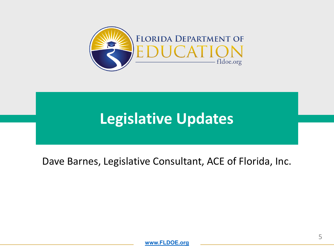

# **Legislative Updates**

#### Dave Barnes, Legislative Consultant, ACE of Florida, Inc.

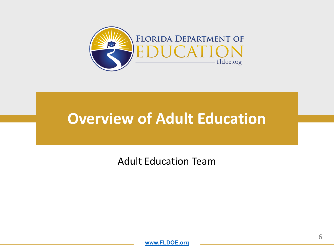

# **Overview of Adult Education**

Adult Education Team

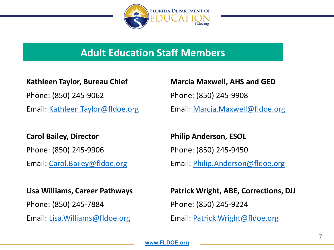

#### **Adult Education Staff Members**

#### **Kathleen Taylor, Bureau Chief**

Phone: (850) 245-9062

Email: [Kathleen.Taylor@fldoe.org](mailto:Kathleen.Taylor@fldoe.org)

#### **Carol Bailey, Director**

Phone: (850) 245-9906

Email: [Carol.Bailey@fldoe.org](mailto:Carol.Bailey@fldoe.org)

#### **Lisa Williams, Career Pathways**

Phone: (850) 245-7884

Email: [Lisa.Williams@fldoe.org](mailto:Lisa.Williams@fldoe.org)

**Marcia Maxwell, AHS and GED**

Phone: (850) 245-9908

Email: [Marcia.Maxwell@fldoe.org](mailto:Marcia.Maxwell@fldoe.org)

**Philip Anderson, ESOL** Phone: (850) 245-9450

Email: [Philip.Anderson@fldoe.org](mailto:Philip.Anderson@fldoe.org)

#### **Patrick Wright, ABE, Corrections, DJJ**

Phone: (850) 245-9224

Email: [Patrick.Wright@fldoe.org](mailto:Patrick.Wright@fldoe.org)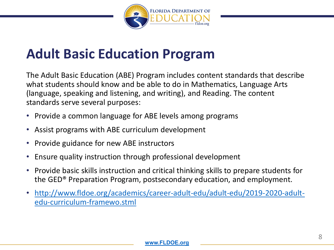

### **Adult Basic Education Program**

The Adult Basic Education (ABE) Program includes content standards that describe what students should know and be able to do in Mathematics, Language Arts (language, speaking and listening, and writing), and Reading. The content standards serve several purposes:

- Provide a common language for ABE levels among programs
- Assist programs with ABE curriculum development
- Provide guidance for new ABE instructors
- Ensure quality instruction through professional development
- Provide basic skills instruction and critical thinking skills to prepare students for the GED® Preparation Program, postsecondary education, and employment.
- [http://www.fldoe.org/academics/career-adult-edu/adult-edu/2019-2020-adult](http://www.fldoe.org/academics/career-adult-edu/adult-edu/2019-2020-adult-edu-curriculum-framewo.stml)edu-curriculum-framewo.stml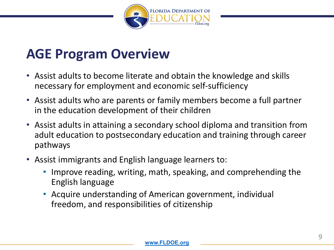

#### **AGE Program Overview**

- Assist adults to become literate and obtain the knowledge and skills necessary for employment and economic self-sufficiency
- Assist adults who are parents or family members become a full partner in the education development of their children
- Assist adults in attaining a secondary school diploma and transition from adult education to postsecondary education and training through career pathways
- Assist immigrants and English language learners to:
	- Improve reading, writing, math, speaking, and comprehending the English language
	- Acquire understanding of American government, individual freedom, and responsibilities of citizenship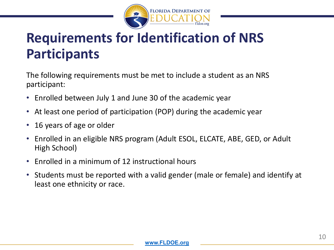

# **Requirements for Identification of NRS Participants**

The following requirements must be met to include a student as an NRS participant:

- Enrolled between July 1 and June 30 of the academic year
- At least one period of participation (POP) during the academic year
- 16 years of age or older
- Enrolled in an eligible NRS program (Adult ESOL, ELCATE, ABE, GED, or Adult High School)
- Enrolled in a minimum of 12 instructional hours
- Students must be reported with a valid gender (male or female) and identify at least one ethnicity or race.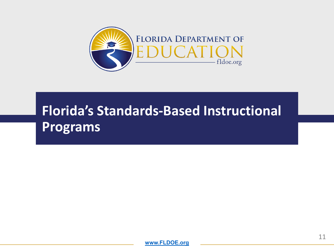

# **Florida's Standards-Based Instructional Programs**

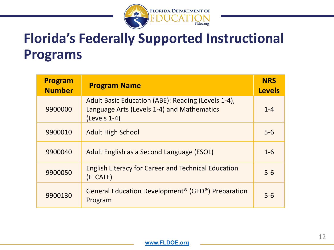

## **Florida's Federally Supported Instructional Programs**

| Program<br><b>Number</b> | <b>Program Name</b>                                                                                                | <b>NRS</b><br><b>Levels</b> |
|--------------------------|--------------------------------------------------------------------------------------------------------------------|-----------------------------|
| 9900000                  | Adult Basic Education (ABE): Reading (Levels 1-4),<br>Language Arts (Levels 1-4) and Mathematics<br>$(levels 1-4)$ | $1 - 4$                     |
| 9900010                  | <b>Adult High School</b>                                                                                           | $5-6$                       |
| 9900040                  | Adult English as a Second Language (ESOL)                                                                          | $1-6$                       |
| 9900050                  | <b>English Literacy for Career and Technical Education</b><br>(ELCATE)                                             | $5-6$                       |
| 9900130                  | General Education Development <sup>®</sup> (GED <sup>®</sup> ) Preparation<br>Program                              | $5-6$                       |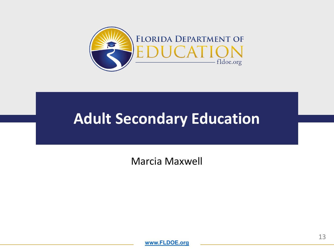

Marcia Maxwell

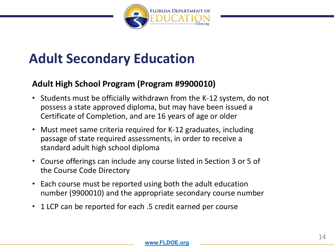

#### **Adult High School Program (Program #9900010)**

- Students must be officially withdrawn from the K-12 system, do not possess a state approved diploma, but may have been issued a Certificate of Completion, and are 16 years of age or older
- Must meet same criteria required for K-12 graduates, including passage of state required assessments, in order to receive a standard adult high school diploma
- Course offerings can include any course listed in Section 3 or 5 of the Course Code Directory
- Each course must be reported using both the adult education number (9900010) and the appropriate secondary course number
- 1 LCP can be reported for each .5 credit earned per course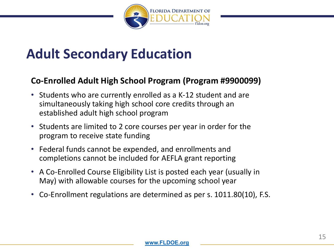

#### **Co-Enrolled Adult High School Program (Program #9900099)**

- Students who are currently enrolled as a K-12 student and are simultaneously taking high school core credits through an established adult high school program
- Students are limited to 2 core courses per year in order for the program to receive state funding
- Federal funds cannot be expended, and enrollments and completions cannot be included for AEFLA grant reporting
- A Co-Enrolled Course Eligibility List is posted each year (usually in May) with allowable courses for the upcoming school year
- Co-Enrollment regulations are determined as per s. 1011.80(10), F.S.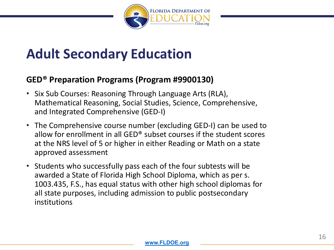

#### **GED® Preparation Programs (Program #9900130)**

- Six Sub Courses: Reasoning Through Language Arts (RLA), Mathematical Reasoning, Social Studies, Science, Comprehensive, and Integrated Comprehensive (GED-I)
- The Comprehensive course number (excluding GED-I) can be used to allow for enrollment in all GED® subset courses if the student scores at the NRS level of 5 or higher in either Reading or Math on a state approved assessment
- Students who successfully pass each of the four subtests will be awarded a State of Florida High School Diploma, which as per s. 1003.435, F.S., has equal status with other high school diplomas for all state purposes, including admission to public postsecondary institutions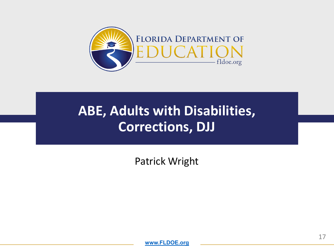

# **ABE, Adults with Disabilities, Corrections, DJJ**

Patrick Wright

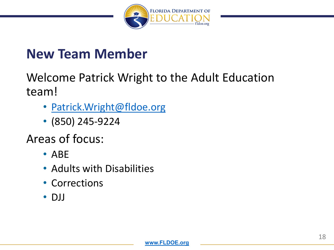

#### **New Team Member**

Welcome Patrick Wright to the Adult Education team!

- [Patrick.Wright@fldoe.org](mailto:Patrick.Wright@fldoe.org)
- (850) 245-9224

Areas of focus:

- ABE
- Adults with Disabilities
- Corrections
- DJJ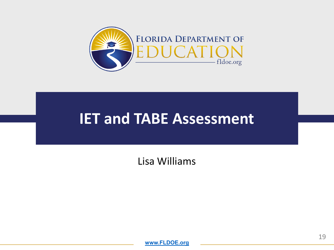

### **IET and TABE Assessment**

Lisa Williams

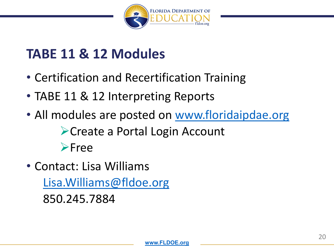

# **TABE 11 & 12 Modules**

- Certification and Recertification Training
- TABE 11 & 12 Interpreting Reports
- All modules are posted on [www.floridaipdae.org](http://www.floridaipdae.org/) ▶ Create a Portal Login Account **≻Free**
- Contact: Lisa Williams [Lisa.Williams@fldoe.org](mailto:Lisa.Williams@fldoe.org) 850.245.7884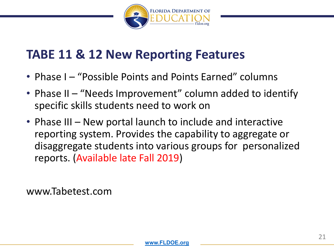

#### **TABE 11 & 12 New Reporting Features**

- Phase I "Possible Points and Points Earned" columns
- Phase II "Needs Improvement" column added to identify specific skills students need to work on
- Phase III New portal launch to include and interactive reporting system. Provides the capability to aggregate or disaggregate students into various groups for personalized reports. (Available late Fall 2019)

www.Tabetest.com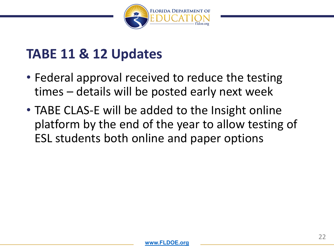

### **TABE 11 & 12 Updates**

- Federal approval received to reduce the testing times – details will be posted early next week
- TABE CLAS-E will be added to the Insight online platform by the end of the year to allow testing of ESL students both online and paper options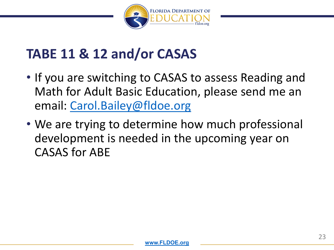

### **TABE 11 & 12 and/or CASAS**

- If you are switching to CASAS to assess Reading and Math for Adult Basic Education, please send me an email: [Carol.Bailey@fldoe.org](mailto:Carol.Bailey@fldoe.org)
- We are trying to determine how much professional development is needed in the upcoming year on CASAS for ABE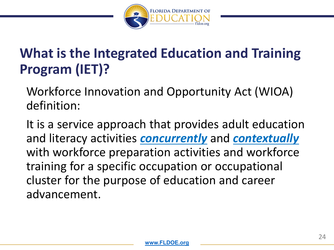

# **What is the Integrated Education and Training Program (IET)?**

Workforce Innovation and Opportunity Act (WIOA) definition:

It is a service approach that provides adult education and literacy activities *concurrently* and *contextually* with workforce preparation activities and workforce training for a specific occupation or occupational cluster for the purpose of education and career advancement.

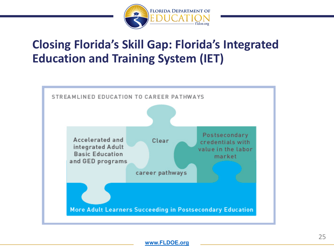

#### **Closing Florida's Skill Gap: Florida's Integrated Education and Training System (IET)**

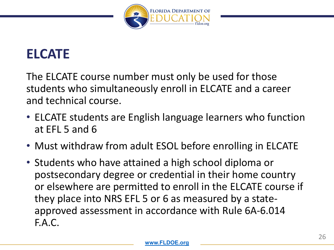

# **ELCATE**

The ELCATE course number must only be used for those students who simultaneously enroll in ELCATE and a career and technical course.

- ELCATE students are English language learners who function at EFL 5 and 6
- Must withdraw from adult ESOL before enrolling in ELCATE
- Students who have attained a high school diploma or postsecondary degree or credential in their home country or elsewhere are permitted to enroll in the ELCATE course if they place into NRS EFL 5 or 6 as measured by a stateapproved assessment in accordance with Rule 6A-6.014 F.A.C.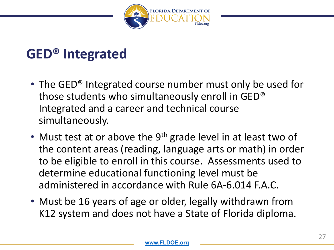

# **GED® Integrated**

- The GED<sup>®</sup> Integrated course number must only be used for those students who simultaneously enroll in GED® Integrated and a career and technical course simultaneously.
- Must test at or above the  $9<sup>th</sup>$  grade level in at least two of the content areas (reading, language arts or math) in order to be eligible to enroll in this course. Assessments used to determine educational functioning level must be administered in accordance with Rule 6A-6.014 F.A.C.
- Must be 16 years of age or older, legally withdrawn from K12 system and does not have a State of Florida diploma.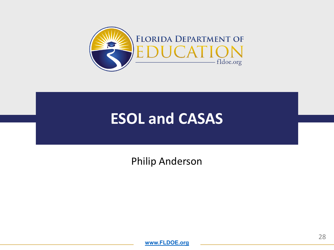

# **ESOL and CASAS**

Philip Anderson

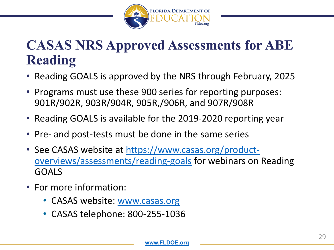

# **CASAS NRS Approved Assessments for ABE Reading**

- Reading GOALS is approved by the NRS through February, 2025
- Programs must use these 900 series for reporting purposes: 901R/902R, 903R/904R, 905R,/906R, and 907R/908R
- Reading GOALS is available for the 2019-2020 reporting year
- Pre- and post-tests must be done in the same series
- [See CASAS website at https://www.casas.org/product](https://www.casas.org/product-overviews/assessments/reading-goals)overviews/assessments/reading-goals for webinars on Reading GOALS
- For more information:
	- CASAS website: [www.casas.org](http://www.casas.org/)
	- CASAS telephone: 800-255-1036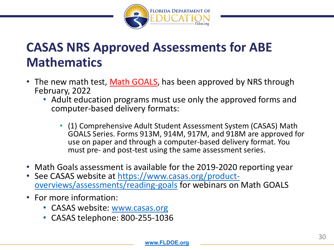

#### **CASAS NRS Approved Assessments for ABE Mathematics**

- The new math test, Math GOALS, has been approved by NRS through February, 2022
	- Adult education programs must use only the approved forms and computer-based delivery formats:
		- (1) Comprehensive Adult Student Assessment System (CASAS) Math GOALS Series. Forms 913M, 914M, 917M, and 918M are approved for use on paper and through a computer-based delivery format. You must pre- and post-test using the same assessment series.
- 
- Math Goals assessment is available for the 2019-2020 reporting year<br>• See CASAS website at https://www.casas.org/product-• See CASAS website at <u>https://www.casas.org/product-</u> overviews/assessments/reading-goals for webinars on Math GOALS
- For more information:
	- CASAS website: [www.casas.org](http://www.casas.org/)
	- CASAS telephone: 800-255-1036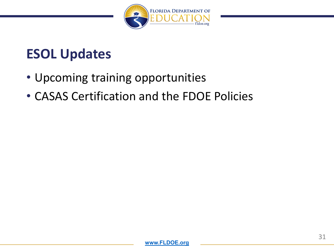

### **ESOL Updates**

- Upcoming training opportunities
- CASAS Certification and the FDOE Policies

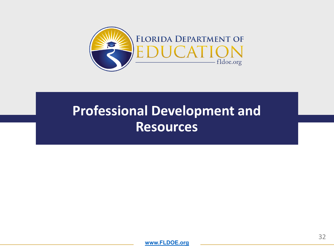

# **Professional Development and Resources**

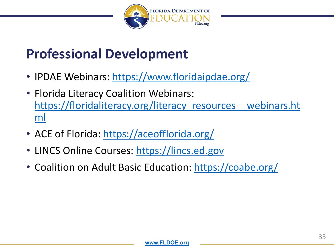

### **Professional Development**

- IPDAE Webinars:<https://www.floridaipdae.org/>
- Florida Literacy Coalition Webinars: https://floridaliteracy.org/literacy\_resources\_webinars.ht ml
- ACE of Florida:<https://aceofflorida.org/>
- LINCS Online Courses: [https://lincs.ed.gov](https://lincs.ed.gov/)
- Coalition on Adult Basic Education:<https://coabe.org/>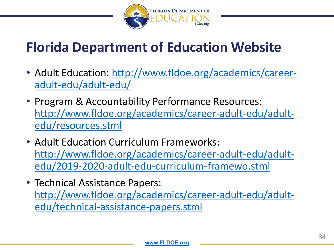

# **Florida Department of Education Website**

- [Adult Education: http://www.fldoe.org/academics/career](http://www.fldoe.org/academics/career-adult-edu/adult-edu/)adult-edu/adult-edu/
- Program & Accountability Performance Resources: [http://www.fldoe.org/academics/career-adult-edu/adult](http://www.fldoe.org/academics/career-adult-edu/adult-edu/resources.stml)edu/resources.stml
- Adult Education Curriculum Frameworks: [http://www.fldoe.org/academics/career-adult-edu/adult](http://www.fldoe.org/academics/career-adult-edu/adult-edu/2019-2020-adult-edu-curriculum-framewo.stml)edu/2019-2020-adult-edu-curriculum-framewo.stml
- Technical Assistance Papers: [http://www.fldoe.org/academics/career-adult-edu/adult](http://www.fldoe.org/academics/career-adult-edu/adult-edu/technical-assistance-papers.stml)edu/technical-assistance-papers.stml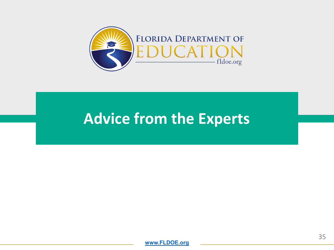

# **Advice from the Experts**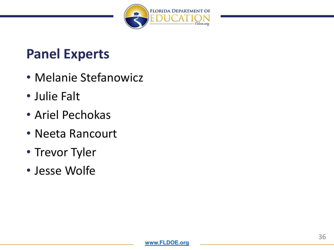

### **Panel Experts**

- Melanie Stefanowicz
- Julie Falt
- Ariel Pechokas
- Neeta Rancourt
- Trevor Tyler
- Jesse Wolfe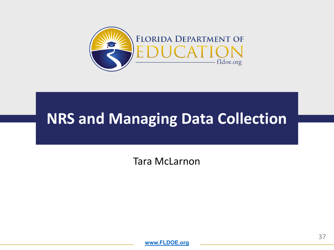

# **NRS and Managing Data Collection**

Tara McLarnon

**[www.FLDOE.org](http://www.fldoe.org/)**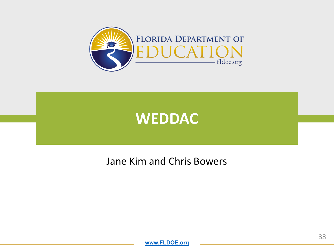



#### Jane Kim and Chris Bowers